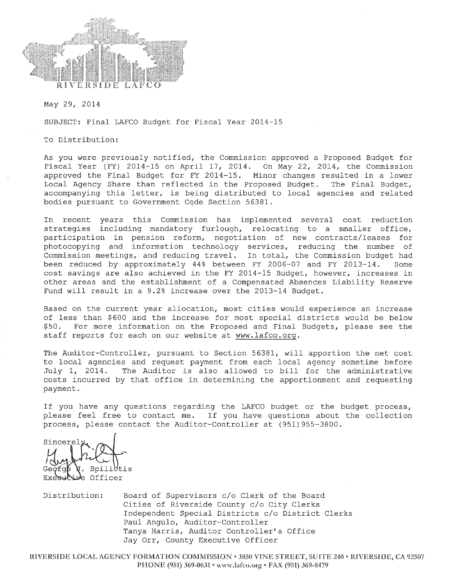

May 29, 2014

SUBJECT: Final LAFCO Budget for Fiscal Year 2014-15

To Distribution:

As you were previously notified, the Commission approved a Proposed Budget for Fiscal Year (FY) 2014-15 on April 17, 2014. On May 22, 2014, the Commission approved the Final Budget for FY 2014-15. Minor changes resulted in a lower Local Agency Share than reflected in the Proposed Budget. The Final Budget, accompanying this letter, is being distributed to local agencies and related bodies pursuant to Government Code Section 56381.

In recent years this Commission has implemented several cost reduction strategies including mandatory furlough, relocating to a smaller office, participation in pension reform, negotiation of new contracts/leases for photocopying and information technology services, reducing the number of Commission meetings, and reducing travel. In total, the Commission budget had been reduced by approximately 44% between FY 2006-07 and FY 2013-14. Some cost savings are also achieved in the FY 2014-15 Budget, however, increases in other areas and the establishment of a Compensated Absences Liability Reserve Fund will result in a 9.2% increase over the 2013-14 Budget.

Based on the current year allocation, most cities would experience an increase of less than \$600 and the increase for most special districts would be below For more information on the Proposed and Final Budgets, please see the  $$50.$ staff reports for each on our website at www.lafco.org.

The Auditor-Controller, pursuant to Section 56381, will apportion the net cost to local agencies and request payment from each local agency sometime before The Auditor is also allowed to bill for the administrative July 1, 2014. costs incurred by that office in determining the apportionment and requesting payment.

If you have any questions regarding the LAFCO budget or the budget process, please feel free to contact me. If you have questions about the collection process, please contact the Auditor-Controller at (951) 955-3800.

Sincerely Spili Officer ⊿∤r

Distribution: Board of Supervisors c/o Clerk of the Board Cities of Riverside County c/o City Clerks Independent Special Districts c/o District Clerks Paul Angulo, Auditor-Controller Tanya Harris, Auditor Controller's Office Jay Orr, County Executive Officer

RIVERSIDE LOCAL AGENCY FORMATION COMMISSION . 3850 VINE STREET, SUITE 240 . RIVERSIDE, CA 92507 PHONE (951) 369-0631 • www.lafco.org • FAX (951) 369-8479